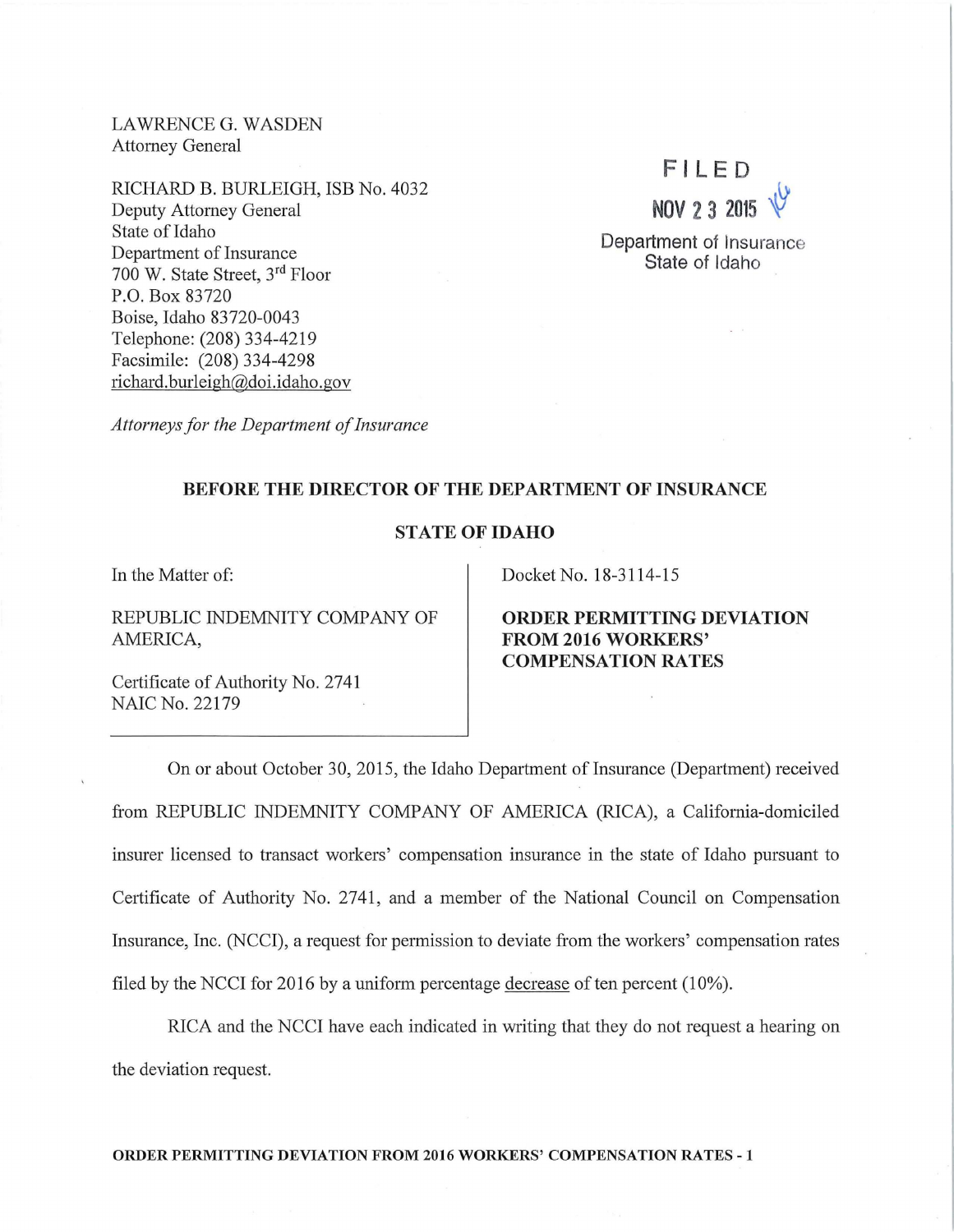LAWRENCE G. WASDEN Attorney General

RICHARD B. BURLEIGH, ISB No. 4032 Deputy Attorney General State of Idaho Department of Insurance 700 W. State Street, 3rd Floor P.O. Box 83720 Boise, Idaho 83720-0043 Telephone: (208) 334-4219 Facsimile: (208) 334-4298 richard.burleigh@doi.idaho.gov

*Attorneys for the Department of Insurance* 

## **F l L ED NOV 2 3 2015** ~

**Department** of Insurance **State** of Idaho

## **BEFORE THE DIRECTOR OF THE DEPARTMENT OF INSURANCE**

## **STATE OF IDAHO**

In the Matter of:

REPUBLIC INDEMNITY COMPANY OF AMERICA,

Certificate of Authority No. 2741 NAIC No. 22179

Docket No. 18-3114-15

**ORDER PERMITTING DEVIATION FROM 2016 WORKERS' COMPENSATION RA TES** 

On or about October 30, 2015, the Idaho Department of Insurance (Department) received from REPUBLIC INDEMNITY COMPANY OF AMERICA (RICA), a California-domiciled insurer licensed to transact workers' compensation insurance in the state of Idaho pursuant to Certificate of Authority No. 2741, and a member of the National Council on Compensation Insurance, Inc. (NCCI), a request for permission to deviate from the workers' compensation rates filed by the NCCI for 2016 by a uniform percentage decrease of ten percent  $(10\%)$ .

RICA and the NCCI have each indicated in writing that they do not request a hearing on the deviation request.

**ORDER PERMITTING DEVIATION FROM 2016 WORKERS' COMPENSATION RATES - 1**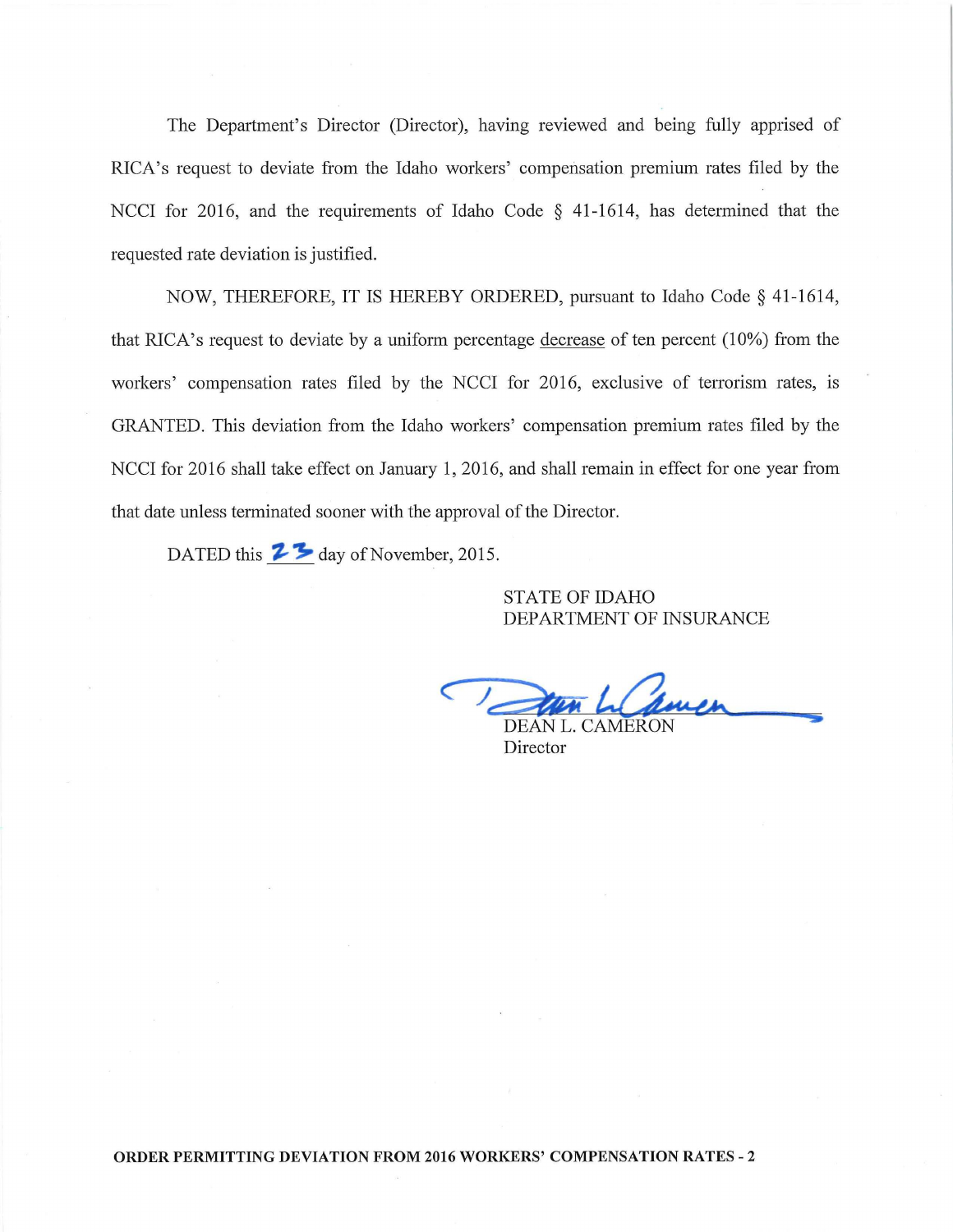The Department's Director (Director), having reviewed and being fully apprised of RICA's request to deviate from the Idaho workers' compensation premium rates filed by the NCCI for 2016, and the requirements of Idaho Code  $\S$  41-1614, has determined that the requested rate deviation is justified.

NOW, THEREFORE, IT IS HEREBY ORDERED, pursuant to Idaho Code § 41-1614, that RICA's request to deviate by a uniform percentage decrease of ten percent (10%) from the workers' compensation rates filed by the NCCI for 2016, exclusive of terrorism rates, is GRANTED. This deviation from the Idaho workers' compensation premium rates filed by the NCCI for 2016 shall take effect on January **1,** 2016, and shall remain in effect for one year from that date unless terminated sooner with the approval of the Director.

DATED this **2**<sup>3</sup> day of November, 2015.

STATE OF IDAHO DEPARTMENT OF INSURANCE

DEAN L. CAMERON

Director

**ORDER PERMITTING DEVIATION FROM 2016 WORKERS' COMPENSATION RATES - 2**